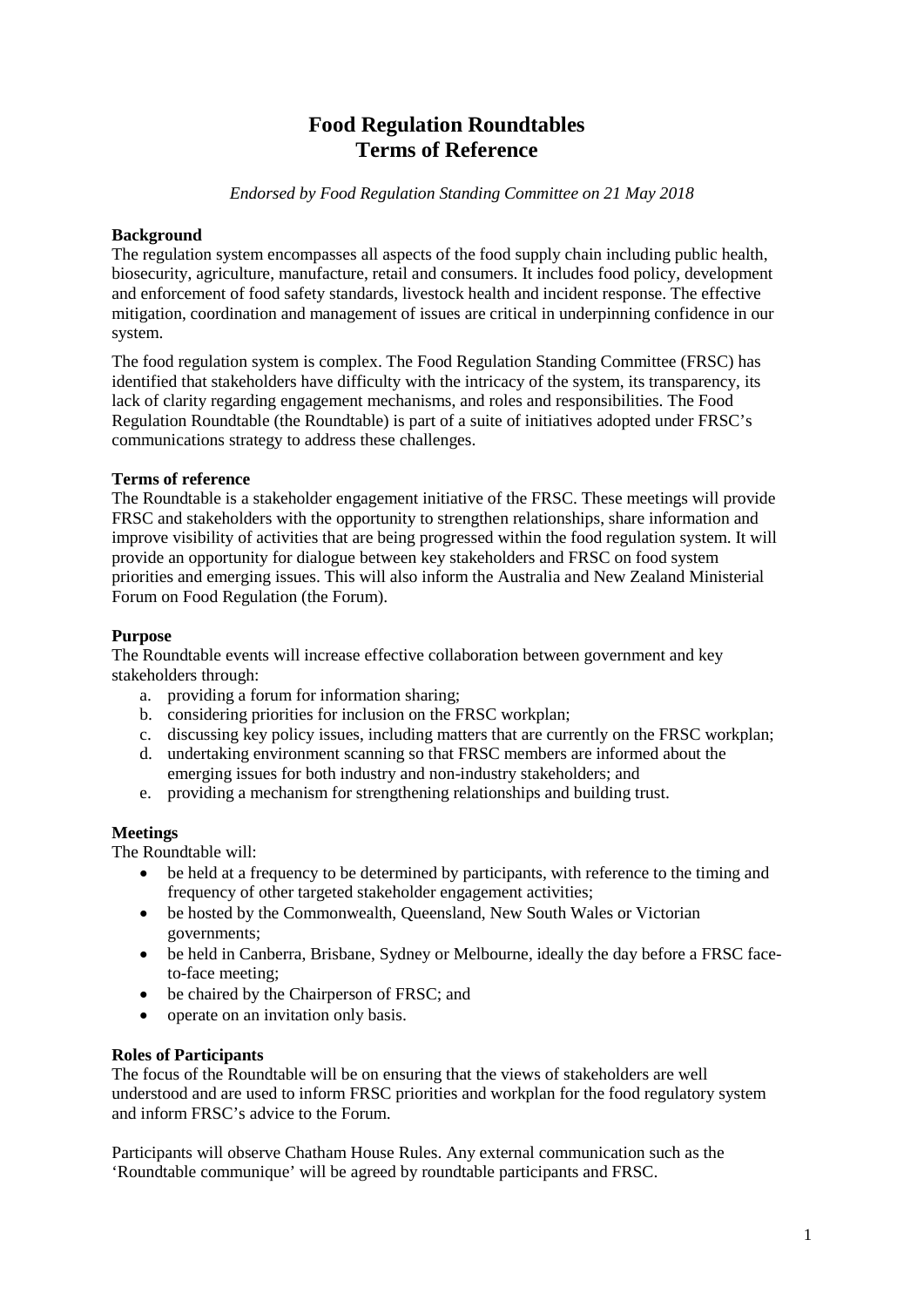# **Food Regulation Roundtables Terms of Reference**

*Endorsed by Food Regulation Standing Committee on 21 May 2018*

# **Background**

The regulation system encompasses all aspects of the food supply chain including public health, biosecurity, agriculture, manufacture, retail and consumers. It includes food policy, development and enforcement of food safety standards, livestock health and incident response. The effective mitigation, coordination and management of issues are critical in underpinning confidence in our system.

The food regulation system is complex. The Food Regulation Standing Committee (FRSC) has identified that stakeholders have difficulty with the intricacy of the system, its transparency, its lack of clarity regarding engagement mechanisms, and roles and responsibilities. The Food Regulation Roundtable (the Roundtable) is part of a suite of initiatives adopted under FRSC's communications strategy to address these challenges.

# **Terms of reference**

The Roundtable is a stakeholder engagement initiative of the FRSC. These meetings will provide FRSC and stakeholders with the opportunity to strengthen relationships, share information and improve visibility of activities that are being progressed within the food regulation system. It will provide an opportunity for dialogue between key stakeholders and FRSC on food system priorities and emerging issues. This will also inform the Australia and New Zealand Ministerial Forum on Food Regulation (the Forum).

# **Purpose**

The Roundtable events will increase effective collaboration between government and key stakeholders through:

- a. providing a forum for information sharing;
- b. considering priorities for inclusion on the FRSC workplan;
- c. discussing key policy issues, including matters that are currently on the FRSC workplan;
- d. undertaking environment scanning so that FRSC members are informed about the emerging issues for both industry and non-industry stakeholders; and
- e. providing a mechanism for strengthening relationships and building trust.

# **Meetings**

The Roundtable will:

- be held at a frequency to be determined by participants, with reference to the timing and frequency of other targeted stakeholder engagement activities;
- be hosted by the Commonwealth, Queensland, New South Wales or Victorian governments;
- be held in Canberra, Brisbane, Sydney or Melbourne, ideally the day before a FRSC faceto-face meeting;
- be chaired by the Chairperson of FRSC; and
- operate on an invitation only basis.

# **Roles of Participants**

The focus of the Roundtable will be on ensuring that the views of stakeholders are well understood and are used to inform FRSC priorities and workplan for the food regulatory system and inform FRSC's advice to the Forum.

Participants will observe Chatham House Rules. Any external communication such as the 'Roundtable communique' will be agreed by roundtable participants and FRSC.